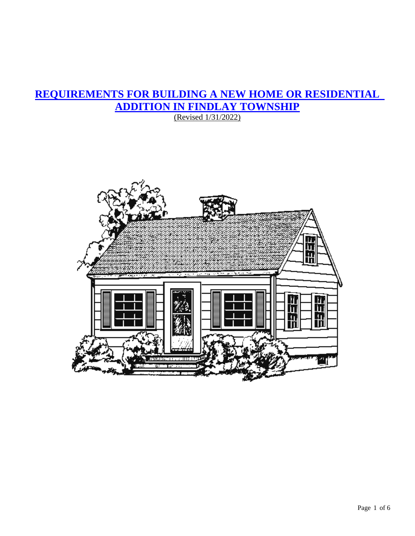# **REQUIREMENTS FOR BUILDING A NEW HOME OR RESIDENTIAL ADDITION IN FINDLAY TOWNSHIP**

(Revised 1/31/2022)

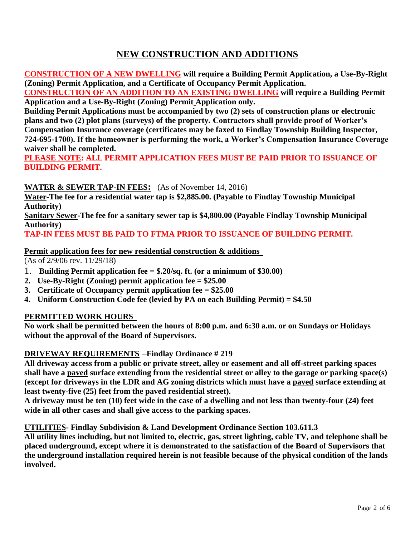# **NEW CONSTRUCTION AND ADDITIONS**

**CONSTRUCTION OF A NEW DWELLING will require a Building Permit Application, a Use-By-Right (Zoning) Permit Application, and a Certificate of Occupancy Permit Application.** 

**CONSTRUCTION OF AN ADDITION TO AN EXISTING DWELLING will require a Building Permit Application and a Use-By-Right (Zoning) Permit Application only.** 

**Building Permit Applications must be accompanied by two (2) sets of construction plans or electronic plans and two (2) plot plans (surveys) of the property. Contractors shall provide proof of Worker's Compensation Insurance coverage (certificates may be faxed to Findlay Township Building Inspector, 724-695-1700). If the homeowner is performing the work, a Worker's Compensation Insurance Coverage waiver shall be completed.**

**PLEASE NOTE: ALL PERMIT APPLICATION FEES MUST BE PAID PRIOR TO ISSUANCE OF BUILDING PERMIT.**

#### **WATER & SEWER TAP-IN FEES:** (As of November 14, 2016)

**Water-The fee for a residential water tap is \$2,885.00. (Payable to Findlay Township Municipal Authority)**

**Sanitary Sewer-The fee for a sanitary sewer tap is \$4,800.00 (Payable Findlay Township Municipal Authority)**

#### **TAP-IN FEES MUST BE PAID TO FTMA PRIOR TO ISSUANCE OF BUILDING PERMIT.**

#### **Permit application fees for new residential construction & additions**

(As of 2/9/06 rev. 11/29/18)

- 1. **Building Permit application fee = \$.20/sq. ft. (or a minimum of \$30.00)**
- **2. Use-By-Right (Zoning) permit application fee = \$25.00**
- **3. Certificate of Occupancy permit application fee = \$25.00**
- **4. Uniform Construction Code fee (levied by PA on each Building Permit) = \$4.50**

## **PERMITTED WORK HOURS**

**No work shall be permitted between the hours of 8:00 p.m. and 6:30 a.m. or on Sundays or Holidays without the approval of the Board of Supervisors.**

## **DRIVEWAY REQUIREMENTS –Findlay Ordinance # 219**

**All driveway access from a public or private street, alley or easement and all off-street parking spaces shall have a paved surface extending from the residential street or alley to the garage or parking space(s) (except for driveways in the LDR and AG zoning districts which must have a paved surface extending at least twenty-five (25) feet from the paved residential street).** 

**A driveway must be ten (10) feet wide in the case of a dwelling and not less than twenty-four (24) feet wide in all other cases and shall give access to the parking spaces.**

#### **UTILITIES- Findlay Subdivision & Land Development Ordinance Section 103.611.3**

**All utility lines including, but not limited to, electric, gas, street lighting, cable TV, and telephone shall be placed underground, except where it is demonstrated to the satisfaction of the Board of Supervisors that the underground installation required herein is not feasible because of the physical condition of the lands involved.**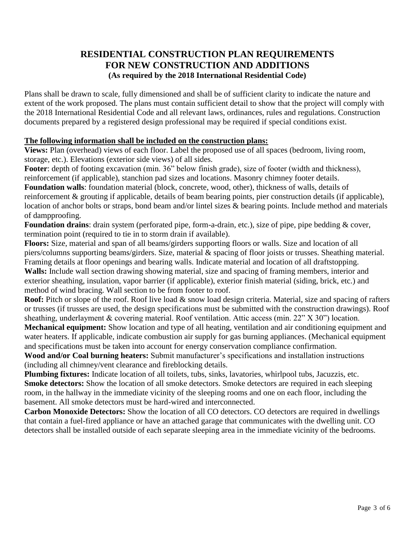# **RESIDENTIAL CONSTRUCTION PLAN REQUIREMENTS FOR NEW CONSTRUCTION AND ADDITIONS (As required by the 2018 International Residential Code)**

Plans shall be drawn to scale, fully dimensioned and shall be of sufficient clarity to indicate the nature and extent of the work proposed. The plans must contain sufficient detail to show that the project will comply with the 2018 International Residential Code and all relevant laws, ordinances, rules and regulations. Construction documents prepared by a registered design professional may be required if special conditions exist.

#### **The following information shall be included on the construction plans:**

**Views:** Plan (overhead) views of each floor. Label the proposed use of all spaces (bedroom, living room, storage, etc.). Elevations (exterior side views) of all sides.

Footer: depth of footing excavation (min. 36" below finish grade), size of footer (width and thickness), reinforcement (if applicable), stanchion pad sizes and locations. Masonry chimney footer details.

**Foundation walls**: foundation material (block, concrete, wood, other), thickness of walls, details of reinforcement & grouting if applicable, details of beam bearing points, pier construction details (if applicable), location of anchor bolts or straps, bond beam and/or lintel sizes & bearing points. Include method and materials of dampproofing.

**Foundation drains**: drain system (perforated pipe, form-a-drain, etc.), size of pipe, pipe bedding & cover, termination point (required to tie in to storm drain if available).

**Floors:** Size, material and span of all beams/girders supporting floors or walls. Size and location of all piers/columns supporting beams/girders. Size, material & spacing of floor joists or trusses. Sheathing material. Framing details at floor openings and bearing walls. Indicate material and location of all draftstopping. **Walls:** Include wall section drawing showing material, size and spacing of framing members, interior and exterior sheathing, insulation, vapor barrier (if applicable), exterior finish material (siding, brick, etc.) and method of wind bracing. Wall section to be from footer to roof.

Roof: Pitch or slope of the roof. Roof live load & snow load design criteria. Material, size and spacing of rafters or trusses (if trusses are used, the design specifications must be submitted with the construction drawings). Roof sheathing, underlayment & covering material. Roof ventilation. Attic access (min. 22" X 30") location.

**Mechanical equipment:** Show location and type of all heating, ventilation and air conditioning equipment and water heaters. If applicable, indicate combustion air supply for gas burning appliances. (Mechanical equipment and specifications must be taken into account for energy conservation compliance confirmation.

**Wood and/or Coal burning heaters:** Submit manufacturer's specifications and installation instructions (including all chimney/vent clearance and fireblocking details.

**Plumbing fixtures:** Indicate location of all toilets, tubs, sinks, lavatories, whirlpool tubs, Jacuzzis, etc. **Smoke detectors:** Show the location of all smoke detectors. Smoke detectors are required in each sleeping room, in the hallway in the immediate vicinity of the sleeping rooms and one on each floor, including the basement. All smoke detectors must be hard-wired and interconnected.

**Carbon Monoxide Detectors:** Show the location of all CO detectors. CO detectors are required in dwellings that contain a fuel-fired appliance or have an attached garage that communicates with the dwelling unit. CO detectors shall be installed outside of each separate sleeping area in the immediate vicinity of the bedrooms.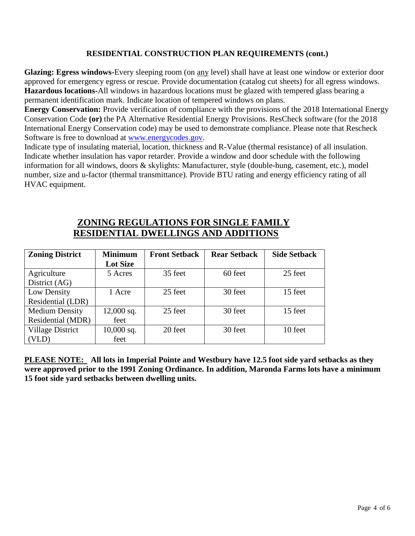## **RESIDENTIAL CONSTRUCTION PLAN REQUIREMENTS (cont.)**

**Glazing: Egress windows-**Every sleeping room (on any level) shall have at least one window or exterior door approved for emergency egress or rescue. Provide documentation (catalog cut sheets) for all egress windows. **Hazardous locations-**All windows in hazardous locations must be glazed with tempered glass bearing a permanent identification mark. Indicate location of tempered windows on plans.

**Energy Conservation:** Provide verification of compliance with the provisions of the 2018 International Energy Conservation Code **(or)** the PA Alternative Residential Energy Provisions. ResCheck software (for the 2018 International Energy Conservation code) may be used to demonstrate compliance. Please note that Rescheck Software is free to download at [www.energycodes.gov.](http://www.energycodes.gov/)

Indicate type of insulating material, location, thickness and R-Value (thermal resistance) of all insulation. Indicate whether insulation has vapor retarder. Provide a window and door schedule with the following information for all windows, doors & skylights: Manufacturer, style (double-hung, casement, etc.), model number, size and u-factor (thermal transmittance). Provide BTU rating and energy efficiency rating of all HVAC equipment.

# **ZONING REGULATIONS FOR SINGLE FAMILY RESIDENTIAL DWELLINGS AND ADDITIONS**

| <b>Zoning District</b>  | <b>Minimum</b>  | <b>Front Setback</b> | <b>Rear Setback</b> | <b>Side Setback</b> |
|-------------------------|-----------------|----------------------|---------------------|---------------------|
|                         | <b>Lot Size</b> |                      |                     |                     |
| Agriculture             | 5 Acres         | 35 feet              | 60 feet             | 25 feet             |
| District (AG)           |                 |                      |                     |                     |
| Low Density             | 1 Acre          | 25 feet              | 30 feet             | 15 feet             |
| Residential (LDR)       |                 |                      |                     |                     |
| <b>Medium Density</b>   | $12,000$ sq.    | 25 feet              | 30 feet             | 15 feet             |
| Residential (MDR)       | feet            |                      |                     |                     |
| <b>Village District</b> | $10,000$ sq.    | 20 feet              | 30 feet             | 10 feet             |
| VLD)                    | feet            |                      |                     |                     |

**PLEASE NOTE: All lots in Imperial Pointe and Westbury have 12.5 foot side yard setbacks as they were approved prior to the 1991 Zoning Ordinance. In addition, Maronda Farms lots have a minimum 15 foot side yard setbacks between dwelling units.**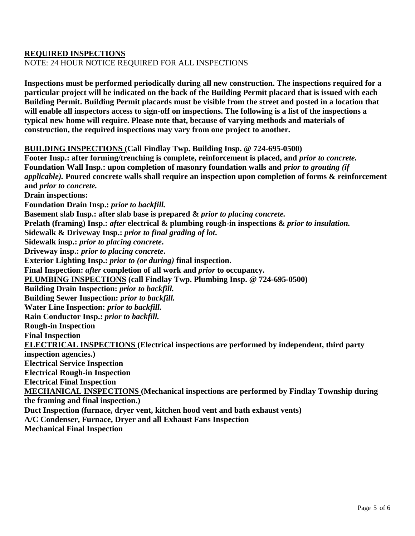#### **REQUIRED INSPECTIONS**

NOTE: 24 HOUR NOTICE REQUIRED FOR ALL INSPECTIONS

**Inspections must be performed periodically during all new construction. The inspections required for a particular project will be indicated on the back of the Building Permit placard that is issued with each Building Permit. Building Permit placards must be visible from the street and posted in a location that will enable all inspectors access to sign-off on inspections. The following is a list of the inspections a typical new home will require. Please note that, because of varying methods and materials of construction, the required inspections may vary from one project to another.**

#### **BUILDING INSPECTIONS (Call Findlay Twp. Building Insp. @ 724-695-0500)**

**Footer Insp.: after forming/trenching is complete, reinforcement is placed, and** *prior to concrete.* **Foundation Wall Insp.: upon completion of masonry foundation walls and** *prior to grouting (if applicable).* **Poured concrete walls shall require an inspection upon completion of forms & reinforcement and** *prior to concrete.* **Drain inspections: Foundation Drain Insp.:** *prior to backfill.* **Basement slab Insp.: after slab base is prepared &** *prior to placing concrete.* **Prelath (framing) Insp.:** *after* **electrical & plumbing rough-in inspections &** *prior to insulation.* **Sidewalk & Driveway Insp.:** *prior to final grading of lot***. Sidewalk insp.:** *prior to placing concrete***. Driveway insp.:** *prior to placing concrete***. Exterior Lighting Insp.:** *prior to (or during)* **final inspection. Final Inspection:** *after* **completion of all work and** *prior* **to occupancy. PLUMBING INSPECTIONS (call Findlay Twp. Plumbing Insp. @ 724-695-0500) Building Drain Inspection:** *prior to backfill.* **Building Sewer Inspection:** *prior to backfill.* **Water Line Inspection:** *prior to backfill.* **Rain Conductor Insp.:** *prior to backfill.* **Rough-in Inspection Final Inspection ELECTRICAL INSPECTIONS (Electrical inspections are performed by independent, third party inspection agencies.) Electrical Service Inspection Electrical Rough-in Inspection Electrical Final Inspection MECHANICAL INSPECTIONS (Mechanical inspections are performed by Findlay Township during the framing and final inspection.) Duct Inspection (furnace, dryer vent, kitchen hood vent and bath exhaust vents) A/C Condenser, Furnace, Dryer and all Exhaust Fans Inspection Mechanical Final Inspection**